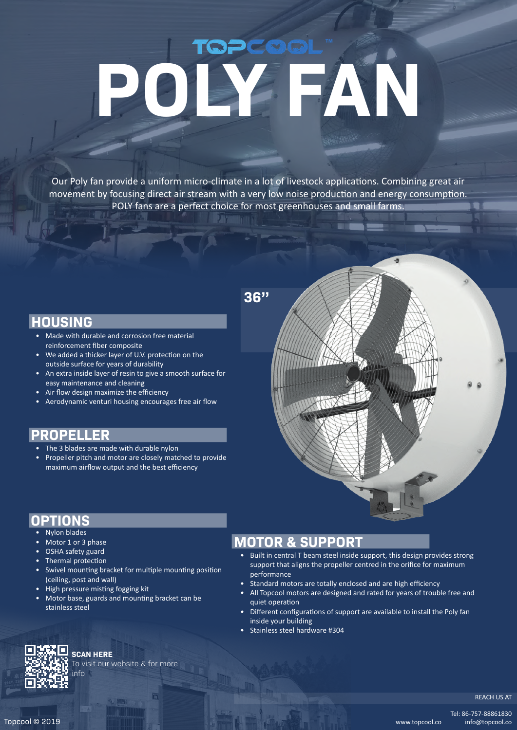# PCOGIL **POLY FAN**

Our Poly fan provide a uniform micro-climate in a lot of livestock applications. Combining great air movement by focusing direct air stream with a very low noise production and energy consumption. POLY fans are a perfect choice for most greenhouses and small farms.

**36''**

#### **HOUSING**

- Made with durable and corrosion free material reinforcement fiber composite
- We added a thicker layer of U.V. protection on the outside surface for years of durability
- An extra inside layer of resin to give a smooth surface for easy maintenance and cleaning
- Air flow design maximize the efficiency
- Aerodynamic venturi housing encourages free air flow

## **PROPELLER**

- The 3 blades are made with durable nylon
- Propeller pitch and motor are closely matched to provide maximum airflow output and the best efficiency

#### **OPTIONS**

- Nylon blades
- Motor 1 or 3 phase
- OSHA safety guard
- Thermal protection
- Swivel mounting bracket for multiple mounting position (ceiling, post and wall)
- High pressure misting fogging kit
- Motor base, guards and mounting bracket can be stainless steel

## **MOTOR & SUPPORT**

- Built in central T beam steel inside support, this design provides strong support that aligns the propeller centred in the orifice for maximum performance
- Standard motors are totally enclosed and are high efficiency
- All Topcool motors are designed and rated for years of trouble free and quiet operation
- Different configurations of support are available to install the Poly fan inside your building
- Stainless steel hardware #304



#### **SCAN HERE**

To visit our website & for more info